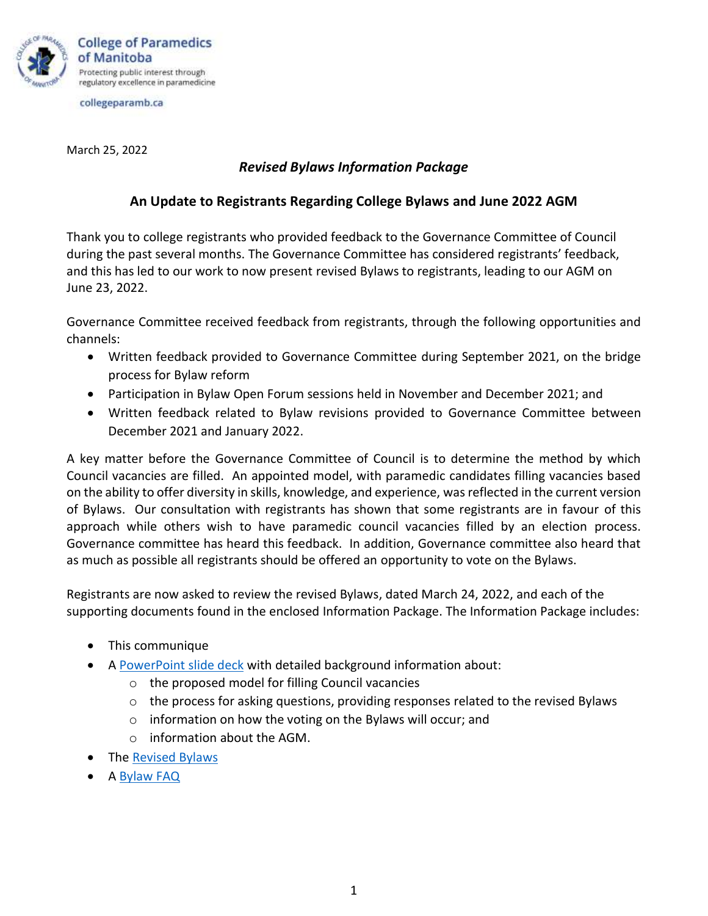

collegeparamb.ca

March 25, 2022

## *Revised Bylaws Information Package*

## **An Update to Registrants Regarding College Bylaws and June 2022 AGM**

Thank you to college registrants who provided feedback to the Governance Committee of Council during the past several months. The Governance Committee has considered registrants' feedback, and this has led to our work to now present revised Bylaws to registrants, leading to our AGM on June 23, 2022.

Governance Committee received feedback from registrants, through the following opportunities and channels:

- Written feedback provided to Governance Committee during September 2021, on the bridge process for Bylaw reform
- Participation in Bylaw Open Forum sessions held in November and December 2021; and
- Written feedback related to Bylaw revisions provided to Governance Committee between December 2021 and January 2022.

A key matter before the Governance Committee of Council is to determine the method by which Council vacancies are filled. An appointed model, with paramedic candidates filling vacancies based on the ability to offer diversity in skills, knowledge, and experience, was reflected in the current version of Bylaws. Our consultation with registrants has shown that some registrants are in favour of this approach while others wish to have paramedic council vacancies filled by an election process. Governance committee has heard this feedback. In addition, Governance committee also heard that as much as possible all registrants should be offered an opportunity to vote on the Bylaws.

Registrants are now asked to review the revised Bylaws, dated March 24, 2022, and each of the supporting documents found in the enclosed Information Package. The Information Package includes:

- This communique
- A [PowerPoint slide deck](https://collegeparamb.ca/wp-content/uploads/2022/03/Powerpoint-Presentation-College-Bylaws-March-25-2022-FINAL.pdf) with detailed background information about:
	- o the proposed model for filling Council vacancies
	- $\circ$  the process for asking questions, providing responses related to the revised Bylaws
	- $\circ$  information on how the voting on the Bylaws will occur; and
	- o information about the AGM.
- The [Revised Bylaws](https://collegeparamb.ca/wp-content/uploads/2022/03/CPMB-Bylaws-March-25-2022.pdf)
- A [Bylaw FAQ](https://collegeparamb.ca/wp-content/uploads/2022/03/Bylaw-FAQ-March-25-2022-FINAL.pdf)